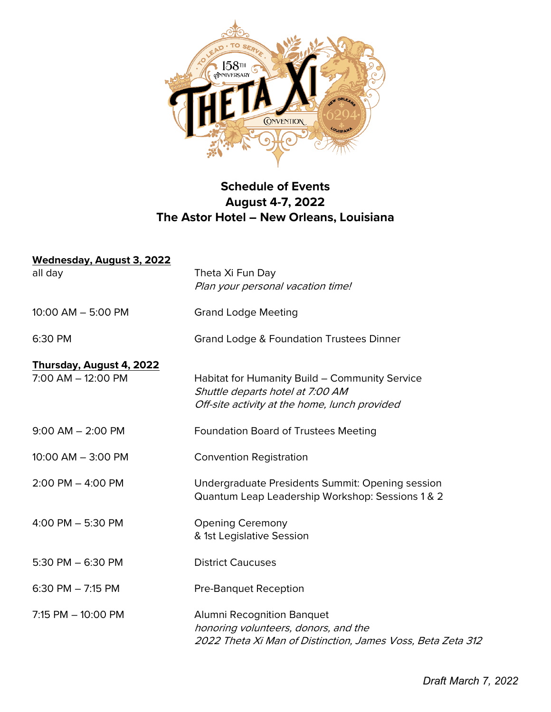

## **Schedule of Events August 4-7, 2022 The Astor Hotel – New Orleans, Louisiana**

| Wednesday, August 3, 2022<br>all day           | Theta Xi Fun Day<br>Plan your personal vacation time!                                                                                    |
|------------------------------------------------|------------------------------------------------------------------------------------------------------------------------------------------|
| 10:00 AM - 5:00 PM                             | <b>Grand Lodge Meeting</b>                                                                                                               |
| 6:30 PM                                        | <b>Grand Lodge &amp; Foundation Trustees Dinner</b>                                                                                      |
| Thursday, August 4, 2022<br>7:00 AM - 12:00 PM | Habitat for Humanity Build - Community Service<br>Shuttle departs hotel at 7:00 AM<br>Off-site activity at the home, lunch provided      |
| $9:00$ AM $-$ 2:00 PM                          | <b>Foundation Board of Trustees Meeting</b>                                                                                              |
| 10:00 AM - 3:00 PM                             | <b>Convention Registration</b>                                                                                                           |
| 2:00 PM - 4:00 PM                              | Undergraduate Presidents Summit: Opening session<br>Quantum Leap Leadership Workshop: Sessions 1 & 2                                     |
| 4:00 PM - 5:30 PM                              | <b>Opening Ceremony</b><br>& 1st Legislative Session                                                                                     |
| 5:30 PM - 6:30 PM                              | <b>District Caucuses</b>                                                                                                                 |
| 6:30 PM - 7:15 PM                              | <b>Pre-Banquet Reception</b>                                                                                                             |
| 7:15 PM - 10:00 PM                             | <b>Alumni Recognition Banquet</b><br>honoring volunteers, donors, and the<br>2022 Theta Xi Man of Distinction, James Voss, Beta Zeta 312 |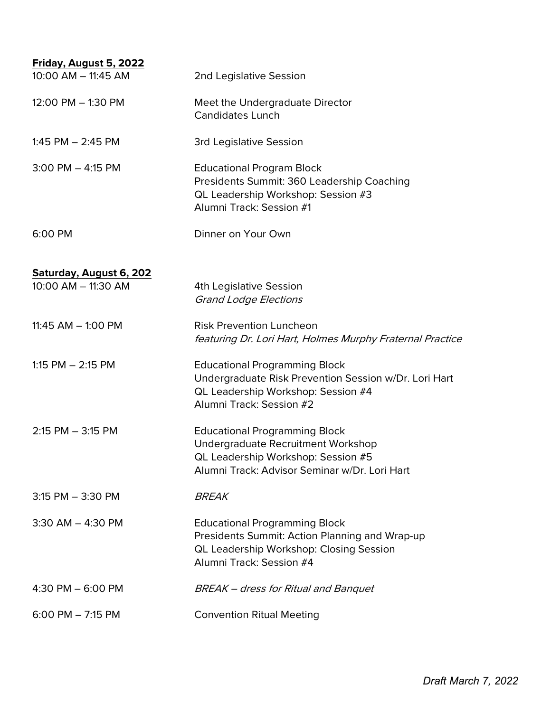| Friday, August 5, 2022<br>10:00 AM - 11:45 AM | 2nd Legislative Session                                                                                                                                              |
|-----------------------------------------------|----------------------------------------------------------------------------------------------------------------------------------------------------------------------|
| 12:00 PM - 1:30 PM                            | Meet the Undergraduate Director<br><b>Candidates Lunch</b>                                                                                                           |
| 1:45 PM $-$ 2:45 PM                           | <b>3rd Legislative Session</b>                                                                                                                                       |
| $3:00$ PM $-$ 4:15 PM                         | <b>Educational Program Block</b><br>Presidents Summit: 360 Leadership Coaching<br>QL Leadership Workshop: Session #3<br>Alumni Track: Session #1                     |
| 6:00 PM                                       | Dinner on Your Own                                                                                                                                                   |
| Saturday, August 6, 202                       |                                                                                                                                                                      |
| 10:00 AM - 11:30 AM                           | 4th Legislative Session<br><b>Grand Lodge Elections</b>                                                                                                              |
| 11:45 AM $-$ 1:00 PM                          | <b>Risk Prevention Luncheon</b><br>featuring Dr. Lori Hart, Holmes Murphy Fraternal Practice                                                                         |
| 1:15 PM $-$ 2:15 PM                           | <b>Educational Programming Block</b><br>Undergraduate Risk Prevention Session w/Dr. Lori Hart<br>QL Leadership Workshop: Session #4<br>Alumni Track: Session #2      |
| $2:15$ PM $-$ 3:15 PM                         | <b>Educational Programming Block</b><br>Undergraduate Recruitment Workshop<br>QL Leadership Workshop: Session #5<br>Alumni Track: Advisor Seminar w/Dr. Lori Hart    |
| $3:15$ PM $-3:30$ PM                          | <b>BREAK</b>                                                                                                                                                         |
| $3:30$ AM $-$ 4:30 PM                         | <b>Educational Programming Block</b><br>Presidents Summit: Action Planning and Wrap-up<br><b>QL Leadership Workshop: Closing Session</b><br>Alumni Track: Session #4 |
| 4:30 PM $-$ 6:00 PM                           | BREAK – dress for Ritual and Banquet                                                                                                                                 |
| $6:00$ PM $- 7:15$ PM                         | <b>Convention Ritual Meeting</b>                                                                                                                                     |